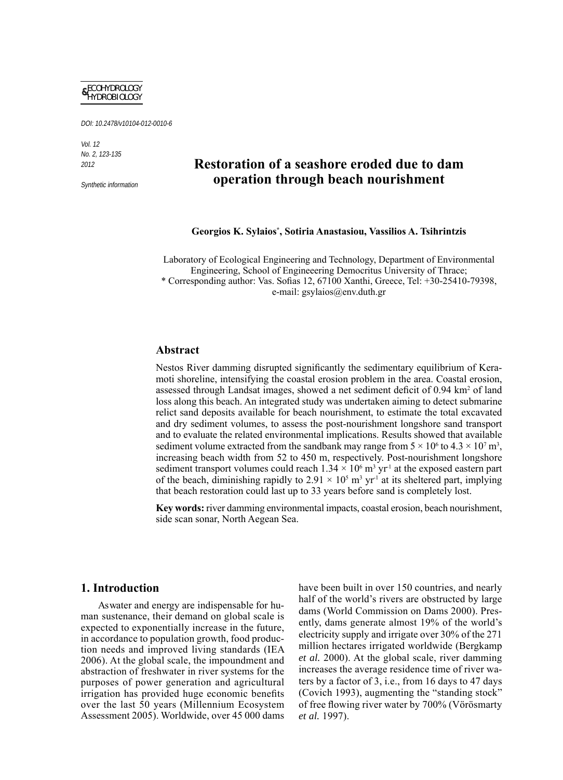

DOI: 10.2478/v10104-012-0010-6

Vol. 12 No. 2, 123-135 2012

Synthetic information

# **Restoration of a seashore eroded due to dam operation through beach nourishment**

**Georgios K. Sylaios\* , Sotiria Anastasiou, Vassilios A. Tsihrintzis**

Laboratory of Ecological Engineering and Technology, Department of Environmental Engineering, School of Engineeering Democritus University of Thrace;  $*$  Corresponding author: Vas. Sofias 12, 67100 Xanthi, Greece, Tel:  $+30-25410-79398$ , e-mail: gsylaios@env.duth.gr

# **Abstract**

Nestos River damming disrupted significantly the sedimentary equilibrium of Keramoti shoreline, intensifying the coastal erosion problem in the area. Coastal erosion, assessed through Landsat images, showed a net sediment deficit of 0.94 km<sup>2</sup> of land loss along this beach. An integrated study was undertaken aiming to detect submarine relict sand deposits available for beach nourishment, to estimate the total excavated and dry sediment volumes, to assess the post-nourishment longshore sand transport and to evaluate the related environmental implications. Results showed that available sediment volume extracted from the sandbank may range from  $5 \times 10^6$  to  $4.3 \times 10^7$  m<sup>3</sup>, increasing beach width from 52 to 450 m, respectively. Post-nourishment longshore sediment transport volumes could reach  $1.34 \times 10^6$  m<sup>3</sup> yr<sup>1</sup> at the exposed eastern part of the beach, diminishing rapidly to  $2.91 \times 10^5$  m<sup>3</sup> yr<sup>1</sup> at its sheltered part, implying that beach restoration could last up to 33 years before sand is completely lost.

**Key words:** river damming environmental impacts, coastal erosion, beach nourishment, side scan sonar, North Aegean Sea.

### **1. Introduction**

As water and energy are indispensable for human sustenance, their demand on global scale is expected to exponentially increase in the future, in accordance to population growth, food production needs and improved living standards (IEA 2006). At the global scale, the impoundment and abstraction of freshwater in river systems for the purposes of power generation and agricultural irrigation has provided huge economic benefits over the last 50 years (Millennium Ecosystem Assessment 2005). Worldwide, over 45 000 dams have been built in over 150 countries, and nearly half of the world's rivers are obstructed by large dams (World Commission on Dams 2000). Presently, dams generate almost 19% of the world's electricity supply and irrigate over 30% of the 271 million hectares irrigated worldwide (Bergkamp *et al.* 2000). At the global scale, river damming increases the average residence time of river waters by a factor of 3, i.e., from 16 days to 47 days (Covich 1993), augmenting the "standing stock" of free flowing river water by 700% (Vörösmarty *et al.* 1997).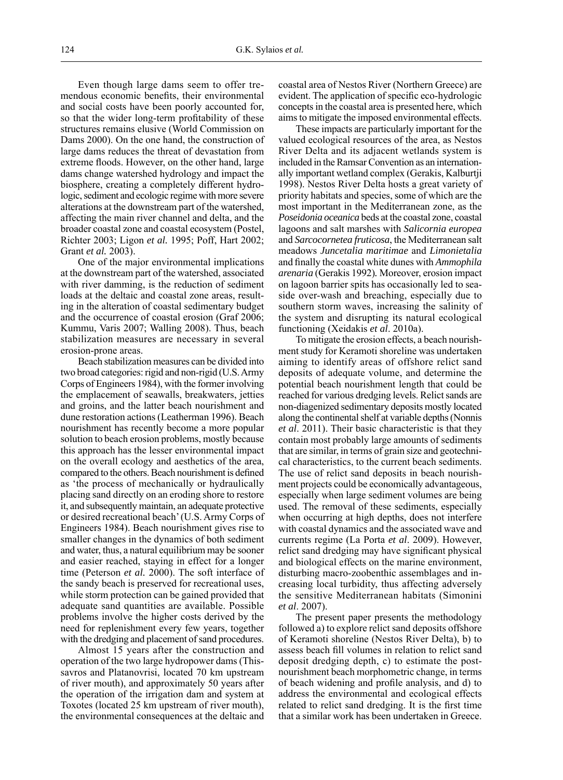Even though large dams seem to offer tremendous economic benefits, their environmental and social costs have been poorly accounted for, so that the wider long-term profitability of these structures remains elusive (World Commission on Dams 2000). On the one hand, the construction of large dams reduces the threat of devastation from extreme floods. However, on the other hand, large dams change watershed hydrology and impact the biosphere, creating a completely different hydrologic, sediment and ecologic regime with more severe alterations at the downstream part of the watershed, affecting the main river channel and delta, and the broader coastal zone and coastal ecosystem (Postel, Richter 2003; Ligon *et al.* 1995; Poff, Hart 2002; Grant *et al.* 2003).

One of the major environmental implications at the downstream part of the watershed, associated with river damming, is the reduction of sediment loads at the deltaic and coastal zone areas, resulting in the alteration of coastal sedimentary budget and the occurrence of coastal erosion (Graf 2006; Kummu, Varis 2007; Walling 2008). Thus, beach stabilization measures are necessary in several erosion-prone areas.

Beach stabilization measures can be divided into two broad categories: rigid and non-rigid (U.S. Army Corps of Engineers 1984), with the former involving the emplacement of seawalls, breakwaters, jetties and groins, and the latter beach nourishment and dune restoration actions (Leatherman 1996). Beach nourishment has recently become a more popular solution to beach erosion problems, mostly because this approach has the lesser environmental impact on the overall ecology and aesthetics of the area, compared to the others. Beach nourishment is defined as 'the process of mechanically or hydraulically placing sand directly on an eroding shore to restore it, and subsequently maintain, an adequate protective or desired recreational beach' (U.S. Army Corps of Engineers 1984). Beach nourishment gives rise to smaller changes in the dynamics of both sediment and water, thus, a natural equilibrium may be sooner and easier reached, staying in effect for a longer time (Peterson *et al.* 2000). The soft interface of the sandy beach is preserved for recreational uses, while storm protection can be gained provided that adequate sand quantities are available. Possible problems involve the higher costs derived by the need for replenishment every few years, together with the dredging and placement of sand procedures.

Almost 15 years after the construction and operation of the two large hydropower dams (Thissavros and Platanovrisi, located 70 km upstream of river mouth), and approximately 50 years after the operation of the irrigation dam and system at Toxotes (located 25 km upstream of river mouth), the environmental consequences at the deltaic and coastal area of Nestos River (Northern Greece) are evident. The application of specific eco-hydrologic concepts in the coastal area is presented here, which aims to mitigate the imposed environmental effects.

These impacts are particularly important for the valued ecological resources of the area, as Nestos River Delta and its adjacent wetlands system is included in the Ramsar Convention as an internationally important wetland complex (Gerakis, Kalburtji 1998). Nestos River Delta hosts a great variety of priority habitats and species, some of which are the most important in the Mediterranean zone, as the *Poseidonia oceanica* beds at the coastal zone, coastal lagoons and salt marshes with *Salicornia europea*  and *Sarcocornetea fruticosa*, the Mediterranean salt meadows *Juncetalia maritimae* and *Limonietalia* and finally the coastal white dunes with *Ammophila arenaria* (Gerakis 1992)*.* Moreover, erosion impact on lagoon barrier spits has occasionally led to seaside over-wash and breaching, especially due to southern storm waves, increasing the salinity of the system and disrupting its natural ecological functioning (Xeidakis *et al*. 2010a).

To mitigate the erosion effects, a beach nourishment study for Keramoti shoreline was undertaken aiming to identify areas of offshore relict sand deposits of adequate volume, and determine the potential beach nourishment length that could be reached for various dredging levels. Relict sands are non-diagenized sedimentary deposits mostly located along the continental shelf at variable depths (Nonnis *et al*. 2011). Their basic characteristic is that they contain most probably large amounts of sediments that are similar, in terms of grain size and geotechnical characteristics, to the current beach sediments. The use of relict sand deposits in beach nourishment projects could be economically advantageous, especially when large sediment volumes are being used. The removal of these sediments, especially when occurring at high depths, does not interfere with coastal dynamics and the associated wave and currents regime (La Porta *et al*. 2009). However, relict sand dredging may have significant physical and biological effects on the marine environment, disturbing macro-zoobenthic assemblages and increasing local turbidity, thus affecting adversely the sensitive Mediterranean habitats (Simonini *et al*. 2007).

The present paper presents the methodology followed a) to explore relict sand deposits offshore of Keramoti shoreline (Nestos River Delta), b) to assess beach fill volumes in relation to relict sand deposit dredging depth, c) to estimate the postnourishment beach morphometric change, in terms of beach widening and profile analysis, and d) to address the environmental and ecological effects related to relict sand dredging. It is the first time that a similar work has been undertaken in Greece.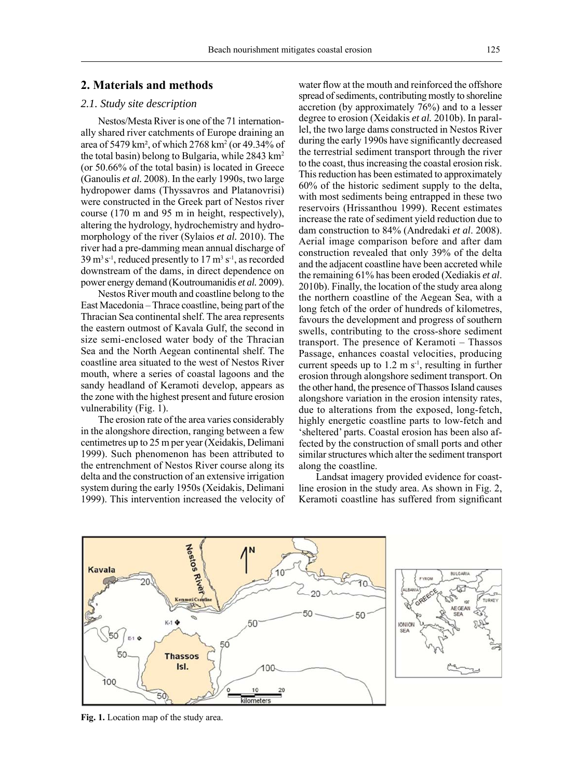# **2. Materials and methods**

### *2.1. Study site description*

Nestos/Mesta River is one of the 71 internationally shared river catchments of Europe draining an area of 5479 km², of which 2768 km2 (or 49.34% of the total basin) belong to Bulgaria, while 2843 km2 (or 50.66% of the total basin) is located in Greece (Ganoulis *et al.* 2008). In the early 1990s, two large hydropower dams (Thyssavros and Platanovrisi) were constructed in the Greek part of Nestos river course (170 m and 95 m in height, respectively), altering the hydrology, hydrochemistry and hydromorphology of the river (Sylaios *et al.* 2010). The river had a pre-damming mean annual discharge of  $39 \,\mathrm{m^3\,s^1}$ , reduced presently to  $17 \,\mathrm{m^3\,s^1}$ , as recorded downstream of the dams, in direct dependence on power energy demand (Koutroumanidis *et al.* 2009).

Nestos River mouth and coastline belong to the East Macedonia – Thrace coastline, being part of the Thracian Sea continental shelf. The area represents the eastern outmost of Kavala Gulf, the second in size semi-enclosed water body of the Thracian Sea and the North Aegean continental shelf. The coastline area situated to the west of Nestos River mouth, where a series of coastal lagoons and the sandy headland of Keramoti develop, appears as the zone with the highest present and future erosion vulnerability (Fig. 1).

The erosion rate of the area varies considerably in the alongshore direction, ranging between a few centimetres up to 25 m per year (Xeidakis, Delimani 1999). Such phenomenon has been attributed to the entrenchment of Nestos River course along its delta and the construction of an extensive irrigation system during the early 1950s (Xeidakis, Delimani 1999). This intervention increased the velocity of water flow at the mouth and reinforced the offshore spread of sediments, contributing mostly to shoreline accretion (by approximately 76%) and to a lesser degree to erosion (Xeidakis *et al.* 2010b). In parallel, the two large dams constructed in Nestos River during the early 1990s have significantly decreased the terrestrial sediment transport through the river to the coast, thus increasing the coastal erosion risk. This reduction has been estimated to approximately 60% of the historic sediment supply to the delta, with most sediments being entrapped in these two reservoirs (Hrissanthou 1999). Recent estimates increase the rate of sediment yield reduction due to dam construction to 84% (Andredaki *et al*. 2008). Aerial image comparison before and after dam construction revealed that only 39% of the delta and the adjacent coastline have been accreted while the remaining 61% has been eroded (Xediakis *et al*. 2010b). Finally, the location of the study area along the northern coastline of the Aegean Sea, with a long fetch of the order of hundreds of kilometres, favours the development and progress of southern swells, contributing to the cross-shore sediment transport. The presence of Keramoti – Thassos Passage, enhances coastal velocities, producing current speeds up to  $1.2 \text{ m s}^{-1}$ , resulting in further erosion through alongshore sediment transport. On the other hand, the presence of Thassos Island causes alongshore variation in the erosion intensity rates, due to alterations from the exposed, long-fetch, highly energetic coastline parts to low-fetch and 'sheltered' parts. Coastal erosion has been also affected by the construction of small ports and other similar structures which alter the sediment transport along the coastline.

Landsat imagery provided evidence for coastline erosion in the study area. As shown in Fig. 2, Keramoti coastline has suffered from significant



**Fig. 1.** Location map of the study area.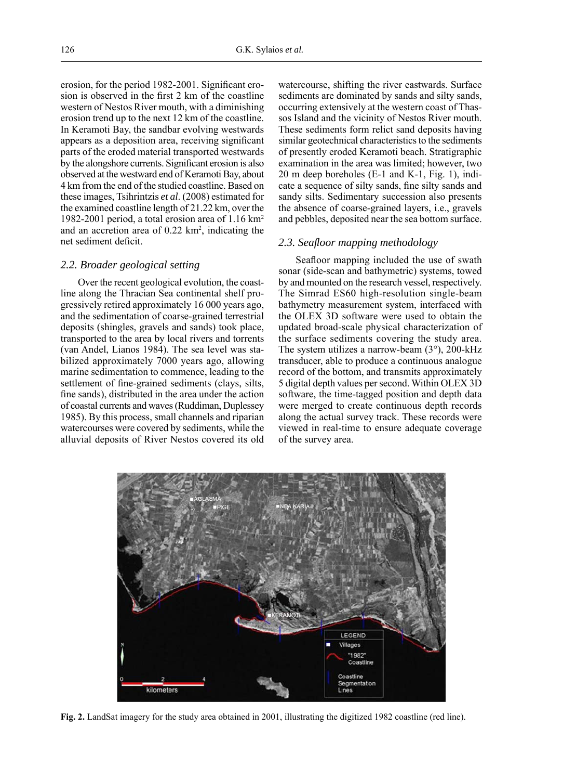erosion, for the period 1982-2001. Significant erosion is observed in the first 2 km of the coastline western of Nestos River mouth, with a diminishing erosion trend up to the next 12 km of the coastline. In Keramoti Bay, the sandbar evolving westwards appears as a deposition area, receiving significant parts of the eroded material transported westwards by the alongshore currents. Significant erosion is also observed at the westward end of Keramoti Bay, about 4 km from the end of the studied coastline. Based on these images, Tsihrintzis *et al*. (2008) estimated for the examined coastline length of 21.22 km, over the 1982-2001 period, a total erosion area of 1.16 km2 and an accretion area of  $0.22 \text{ km}^2$ , indicating the net sediment deficit.

#### *2.2. Broader geological setting*

Over the recent geological evolution, the coastline along the Thracian Sea continental shelf progressively retired approximately 16 000 years ago, and the sedimentation of coarse-grained terrestrial deposits (shingles, gravels and sands) took place, transported to the area by local rivers and torrents (van Andel, Lianos 1984). The sea level was stabilized approximately 7000 years ago, allowing marine sedimentation to commence, leading to the settlement of fine-grained sediments (clays, silts, fine sands), distributed in the area under the action of coastal currents and waves (Ruddiman, Duplessey 1985). By this process, small channels and riparian watercourses were covered by sediments, while the alluvial deposits of River Nestos covered its old watercourse, shifting the river eastwards. Surface sediments are dominated by sands and silty sands, occurring extensively at the western coast of Thassos Island and the vicinity of Nestos River mouth. These sediments form relict sand deposits having similar geotechnical characteristics to the sediments of presently eroded Keramoti beach. Stratigraphic examination in the area was limited; however, two 20 m deep boreholes (E-1 and K-1, Fig. 1), indicate a sequence of silty sands, fine silty sands and sandy silts. Sedimentary succession also presents the absence of coarse-grained layers, i.e., gravels and pebbles, deposited near the sea bottom surface.

#### *2.3. Seafl oor mapping methodology*

Seafloor mapping included the use of swath sonar (side-scan and bathymetric) systems, towed by and mounted on the research vessel, respectively. The Simrad ES60 high-resolution single-beam bathymetry measurement system, interfaced with the OLEX 3D software were used to obtain the updated broad-scale physical characterization of the surface sediments covering the study area. The system utilizes a narrow-beam (3°), 200-kHz transducer, able to produce a continuous analogue record of the bottom, and transmits approximately 5 digital depth values per second. Within OLEX 3D software, the time-tagged position and depth data were merged to create continuous depth records along the actual survey track. These records were viewed in real-time to ensure adequate coverage of the survey area.



**Fig. 2.** LandSat imagery for the study area obtained in 2001, illustrating the digitized 1982 coastline (red line).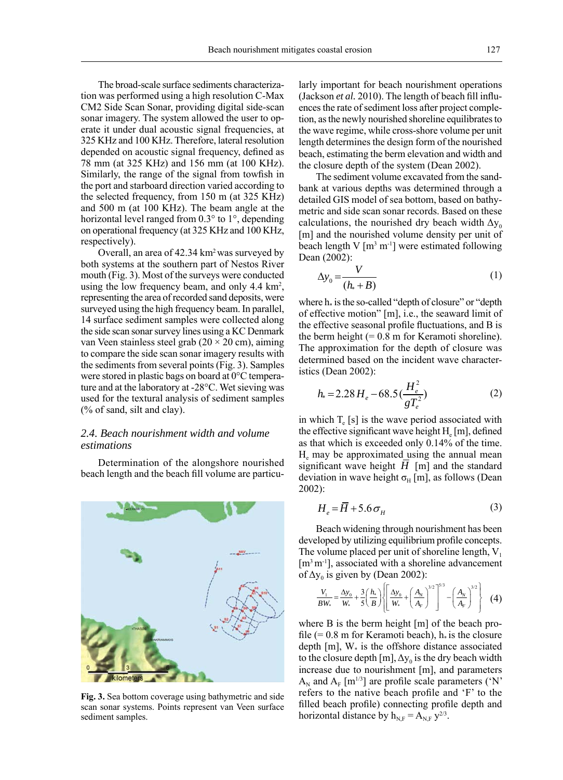The broad-scale surface sediments characterization was performed using a high resolution C-Max CM2 Side Scan Sonar, providing digital side-scan sonar imagery. The system allowed the user to operate it under dual acoustic signal frequencies, at 325 KHz and 100 KHz. Therefore, lateral resolution depended on acoustic signal frequency, defined as 78 mm (at 325 KHz) and 156 mm (at 100 KHz). Similarly, the range of the signal from towfish in the port and starboard direction varied according to the selected frequency, from 150 m (at 325 KHz) and 500 m (at 100 KHz). The beam angle at the horizontal level ranged from 0.3° to 1°, depending on operational frequency (at 325 KHz and 100 KHz, respectively).

Overall, an area of 42.34 km<sup>2</sup> was surveyed by both systems at the southern part of Nestos River mouth (Fig. 3). Most of the surveys were conducted using the low frequency beam, and only  $4.4 \text{ km}^2$ , representing the area of recorded sand deposits, were surveyed using the high frequency beam. In parallel, 14 surface sediment samples were collected along the side scan sonar survey lines using a KC Denmark van Veen stainless steel grab  $(20 \times 20 \text{ cm})$ , aiming to compare the side scan sonar imagery results with the sediments from several points (Fig. 3). Samples were stored in plastic bags on board at 0°C temperature and at the laboratory at -28°C. Wet sieving was used for the textural analysis of sediment samples (% of sand, silt and clay).

# *2.4. Beach nourishment width and volume estimations*

Determination of the alongshore nourished beach length and the beach fill volume are particu-



**Fig. 3.** Sea bottom coverage using bathymetric and side scan sonar systems. Points represent van Veen surface sediment samples.

larly important for beach nourishment operations (Jackson  $et$   $al.$  2010). The length of beach fill influences the rate of sediment loss after project completion, as the newly nourished shoreline equilibrates to the wave regime, while cross-shore volume per unit length determines the design form of the nourished beach, estimating the berm elevation and width and the closure depth of the system (Dean 2002).

The sediment volume excavated from the sandbank at various depths was determined through a detailed GIS model of sea bottom, based on bathymetric and side scan sonar records. Based on these calculations, the nourished dry beach width  $\Delta v_0$ [m] and the nourished volume density per unit of beach length V  $[m^3 m^1]$  were estimated following Dean (2002):

$$
\Delta y_0 = \frac{V}{(h_* + B)}\tag{1}
$$

where  $h_*$  is the so-called "depth of closure" or "depth of effective motion" [m], i.e., the seaward limit of the effective seasonal profile fluctuations, and B is the berm height  $(= 0.8 \text{ m}$  for Keramoti shoreline). The approximation for the depth of closure was determined based on the incident wave characteristics (Dean 2002):

$$
h_* = 2.28 \, H_e - 68.5 \left(\frac{H_e^2}{gT_e^2}\right) \tag{2}
$$

in which  $T_e$  [s] is the wave period associated with the effective significant wave height  $H<sub>a</sub>$  [m], defined as that which is exceeded only 0.14% of the time. He may be approximated using the annual mean significant wave height  $H$  [m] and the standard deviation in wave height  $\sigma_H$  [m], as follows (Dean 2002):

$$
H_e = \overline{H} + 5.6 \,\sigma_H \tag{3}
$$

Beach widening through nourishment has been developed by utilizing equilibrium profile concepts. The volume placed per unit of shoreline length,  $V_1$  $[m<sup>3</sup>m<sup>-1</sup>]$ , associated with a shoreline advancement of  $\Delta y_0$  is given by (Dean 2002):

$$
\frac{V_1}{BW_*} = \frac{\Delta y_0}{W_*} + \frac{3}{5} \left( \frac{h_*}{B} \right) \left\{ \left[ \frac{\Delta y_0}{W_*} + \left( \frac{A_N}{A_F} \right)^{3/2} \right]^{5/3} - \left( \frac{A_N}{A_F} \right)^{3/2} \right\} (4)
$$

where B is the berm height [m] of the beach profile (=  $0.8$  m for Keramoti beach),  $h_*$  is the closure depth  $[m]$ ,  $W_*$  is the offshore distance associated to the closure depth  $[m]$ ,  $\Delta y_0$  is the dry beach width increase due to nourishment [m], and parameters  $A_N$  and  $A_F$  [m<sup>1/3</sup>] are profile scale parameters ('N' refers to the native beach profile and 'F' to the filled beach profile) connecting profile depth and horizontal distance by  $h_{N,F} = A_{N,F} y^{2/3}$ .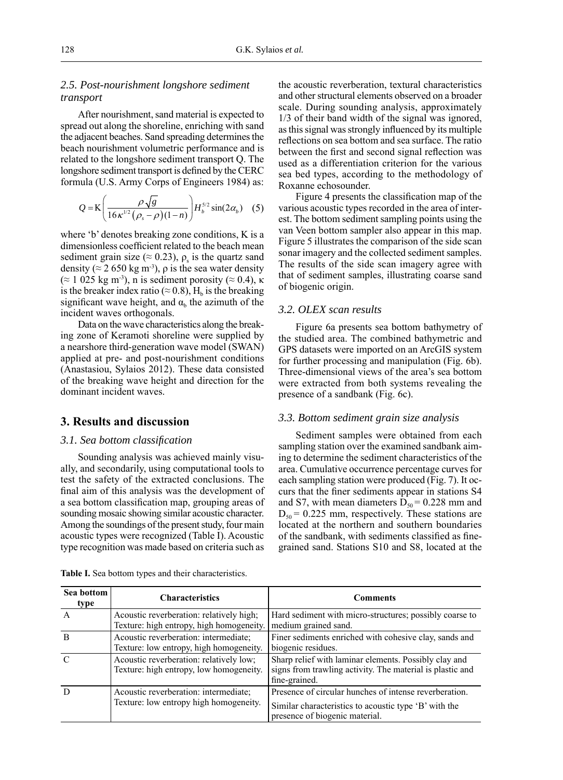# *2.5. Post-nourishment longshore sediment transport*

After nourishment, sand material is expected to spread out along the shoreline, enriching with sand the adjacent beaches. Sand spreading determines the beach nourishment volumetric performance and is related to the longshore sediment transport Q. The longshore sediment transport is defined by the CERC formula (U.S. Army Corps of Engineers 1984) as:

$$
Q = \mathbf{K} \left( \frac{\rho \sqrt{g}}{16 \kappa^{1/2} (\rho_s - \rho)(1-n)} \right) H_b^{5/2} \sin(2\alpha_b) \quad (5)
$$

where 'b' denotes breaking zone conditions, K is a dimensionless coefficient related to the beach mean sediment grain size ( $\approx$  0.23),  $\rho_s$  is the quartz sand density ( $\approx$  2 650 kg m<sup>-3</sup>),  $\rho$  is the sea water density  $(≈ 1 025 kg m<sup>-3</sup>)$ , n is sediment porosity (≈ 0.4), κ is the breaker index ratio ( $\approx$  0.8), H<sub>b</sub> is the breaking significant wave height, and  $\alpha_b$  the azimuth of the incident waves orthogonals.

Data on the wave characteristics along the breaking zone of Keramoti shoreline were supplied by a nearshore third-generation wave model (SWAN) applied at pre- and post-nourishment conditions (Anastasiou, Sylaios 2012). These data consisted of the breaking wave height and direction for the dominant incident waves.

# **3. Results and discussion**

#### *3.1. Sea bottom classifi cation*

Sounding analysis was achieved mainly visually, and secondarily, using computational tools to test the safety of the extracted conclusions. The final aim of this analysis was the development of a sea bottom classification map, grouping areas of sounding mosaic showing similar acoustic character. Among the soundings of the present study, four main acoustic types were recognized (Table I). Acoustic type recognition was made based on criteria such as the acoustic reverberation, textural characteristics and other structural elements observed on a broader scale. During sounding analysis, approximately 1/3 of their band width of the signal was ignored, as this signal was strongly influenced by its multiple reflections on sea bottom and sea surface. The ratio between the first and second signal reflection was used as a differentiation criterion for the various sea bed types, according to the methodology of Roxanne echosounder.

Figure 4 presents the classification map of the various acoustic types recorded in the area of interest. The bottom sediment sampling points using the van Veen bottom sampler also appear in this map. Figure 5 illustrates the comparison of the side scan sonar imagery and the collected sediment samples. The results of the side scan imagery agree with that of sediment samples, illustrating coarse sand of biogenic origin.

# *3.2. OLEX scan results*

Figure 6a presents sea bottom bathymetry of the studied area. The combined bathymetric and GPS datasets were imported on an ArcGIS system for further processing and manipulation (Fig. 6b). Three-dimensional views of the area's sea bottom were extracted from both systems revealing the presence of a sandbank (Fig. 6c).

#### *3.3. Bottom sediment grain size analysis*

Sediment samples were obtained from each sampling station over the examined sandbank aiming to determine the sediment characteristics of the area. Cumulative occurrence percentage curves for each sampling station were produced (Fig. 7). It occurs that the finer sediments appear in stations S4 and S7, with mean diameters  $D_{50} = 0.228$  mm and  $D_{50}$  = 0.225 mm, respectively. These stations are located at the northern and southern boundaries of the sandbank, with sediments classified as finegrained sand. Stations S10 and S8, located at the

| Sea bottom<br>type | <b>Characteristics</b>                                                               | <b>Comments</b>                                                                                                                                   |
|--------------------|--------------------------------------------------------------------------------------|---------------------------------------------------------------------------------------------------------------------------------------------------|
| A                  | Acoustic reverberation: relatively high;<br>Texture: high entropy, high homogeneity. | Hard sediment with micro-structures; possibly coarse to<br>medium grained sand.                                                                   |
|                    | Acoustic reverberation: intermediate;<br>Texture: low entropy, high homogeneity.     | Finer sediments enriched with cohesive clay, sands and<br>biogenic residues.                                                                      |
|                    | Acoustic reverberation: relatively low;<br>Texture: high entropy, low homogeneity.   | Sharp relief with laminar elements. Possibly clay and<br>signs from trawling activity. The material is plastic and<br>fine-grained.               |
|                    | Acoustic reverberation: intermediate;<br>Texture: low entropy high homogeneity.      | Presence of circular hunches of intense reverberation.<br>Similar characteristics to acoustic type 'B' with the<br>presence of biogenic material. |

**Table I.** Sea bottom types and their characteristics.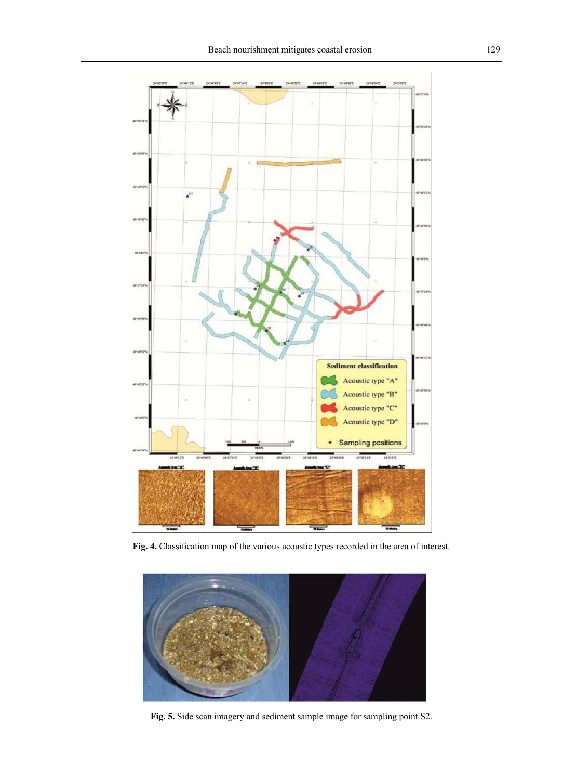

Fig. 4. Classification map of the various acoustic types recorded in the area of interest.



**Fig. 5.** Side scan imagery and sediment sample image for sampling point S2.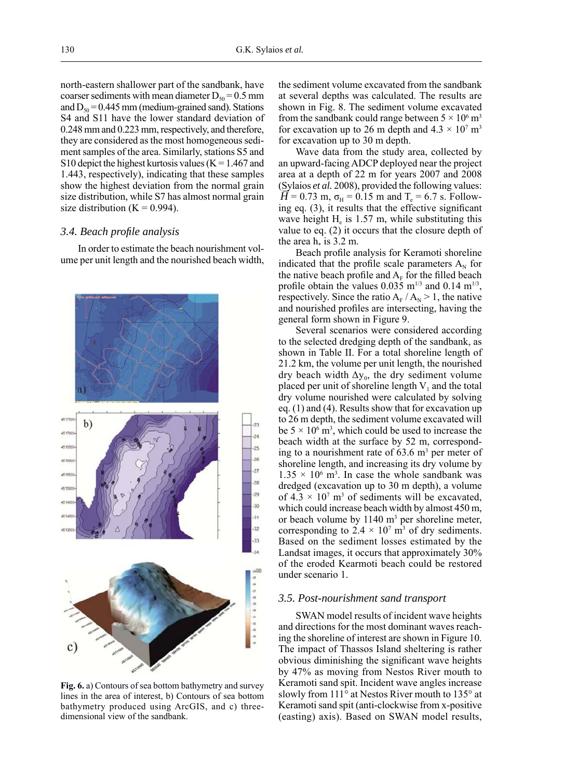north-eastern shallower part of the sandbank, have coarser sediments with mean diameter  $D_{50} = 0.5$  mm and  $D_{50} = 0.445$  mm (medium-grained sand). Stations S4 and S11 have the lower standard deviation of 0.248 mm and 0.223 mm, respectively, and therefore, they are considered as the most homogeneous sediment samples of the area. Similarly, stations S5 and S10 depict the highest kurtosis values ( $K = 1.467$  and 1.443, respectively), indicating that these samples show the highest deviation from the normal grain size distribution, while S7 has almost normal grain size distribution  $(K = 0.994)$ .

# *3.4. Beach profi le analysis*

In order to estimate the beach nourishment volume per unit length and the nourished beach width,



**Fig. 6.** a) Contours of sea bottom bathymetry and survey lines in the area of interest, b) Contours of sea bottom bathymetry produced using ArcGIS, and c) threedimensional view of the sandbank.

the sediment volume excavated from the sandbank at several depths was calculated. The results are shown in Fig. 8. The sediment volume excavated from the sandbank could range between  $5 \times 10^6$  m<sup>3</sup> for excavation up to 26 m depth and  $4.3 \times 10^7$  m<sup>3</sup> for excavation up to 30 m depth.

Wave data from the study area, collected by an upward-facing ADCP deployed near the project area at a depth of 22 m for years 2007 and 2008 (Sylaios *et al.* 2008), provided the following values:  $\overline{H}$  = 0.73 m,  $\sigma_{\text{H}}$  = 0.15 m and T<sub>e</sub> = 6.7 s. Following eq.  $(3)$ , it results that the effective significant wave height  $H<sub>e</sub>$  is 1.57 m, while substituting this value to eq. (2) it occurs that the closure depth of the area  $h_*$  is 3.2 m.

Beach profile analysis for Keramoti shoreline indicated that the profile scale parameters  $A_N$  for the native beach profile and  $A_F$  for the filled beach profile obtain the values  $0.035$  m<sup>1/3</sup> and  $0.14$  m<sup>1/3</sup>, respectively. Since the ratio  $A_F / A_N > 1$ , the native and nourished profiles are intersecting, having the general form shown in Figure 9.

Several scenarios were considered according to the selected dredging depth of the sandbank, as shown in Table II. For a total shoreline length of 21.2 km, the volume per unit length, the nourished dry beach width  $\Delta y_0$ , the dry sediment volume placed per unit of shoreline length  $V_1$  and the total dry volume nourished were calculated by solving eq. (1) and (4). Results show that for excavation up to 26 m depth, the sediment volume excavated will be  $5 \times 10^6$  m<sup>3</sup>, which could be used to increase the beach width at the surface by 52 m, corresponding to a nourishment rate of  $63.6 \text{ m}^3$  per meter of shoreline length, and increasing its dry volume by  $1.35 \times 10^6$  m<sup>3</sup>. In case the whole sandbank was dredged (excavation up to 30 m depth), a volume of  $4.3 \times 10^7$  m<sup>3</sup> of sediments will be excavated, which could increase beach width by almost 450 m, or beach volume by  $1140 \text{ m}^3$  per shoreline meter, corresponding to  $2.4 \times 10^7$  m<sup>3</sup> of dry sediments. Based on the sediment losses estimated by the Landsat images, it occurs that approximately 30% of the eroded Kearmoti beach could be restored under scenario 1.

#### *3.5. Post-nourishment sand transport*

SWAN model results of incident wave heights and directions for the most dominant waves reaching the shoreline of interest are shown in Figure 10. The impact of Thassos Island sheltering is rather obvious diminishing the significant wave heights by 47% as moving from Nestos River mouth to Keramoti sand spit. Incident wave angles increase slowly from 111° at Nestos River mouth to 135° at Keramoti sand spit (anti-clockwise from x-positive (easting) axis). Based on SWAN model results,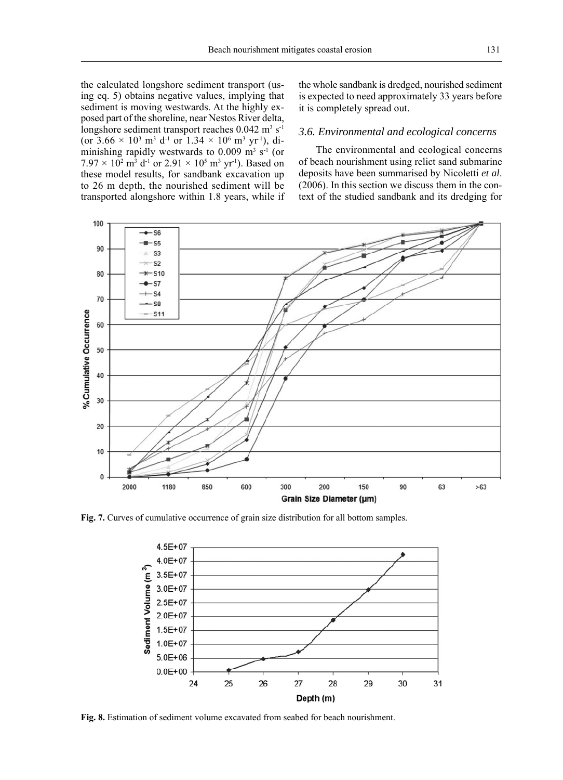the calculated longshore sediment transport (using eq. 5) obtains negative values, implying that sediment is moving westwards. At the highly exposed part of the shoreline, near Nestos River delta, longshore sediment transport reaches  $0.042 \text{ m}^3 \text{ s}^{-1}$ (or  $3.66 \times 10^3$  m<sup>3</sup> d<sup>-1</sup> or  $1.34 \times 10^6$  m<sup>3</sup> yr<sup>-1</sup>), diminishing rapidly westwards to  $0.009 \text{ m}^3 \text{ s}^{-1}$  (or  $7.97 \times 10^2$  m<sup>3</sup> d<sup>-1</sup> or  $2.91 \times 10^5$  m<sup>3</sup> yr<sup>-1</sup>). Based on these model results, for sandbank excavation up to 26 m depth, the nourished sediment will be transported alongshore within 1.8 years, while if

the whole sandbank is dredged, nourished sediment is expected to need approximately 33 years before it is completely spread out.

# *3.6. Environmental and ecological concerns*

The environmental and ecological concerns of beach nourishment using relict sand submarine deposits have been summarised by Nicoletti *et al*. (2006). In this section we discuss them in the context of the studied sandbank and its dredging for



**Fig. 7.** Curves of cumulative occurrence of grain size distribution for all bottom samples.



**Fig. 8.** Estimation of sediment volume excavated from seabed for beach nourishment.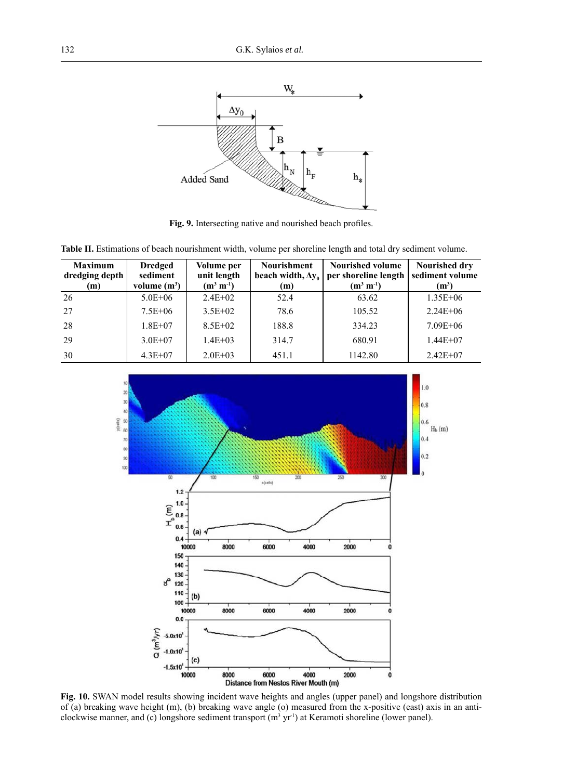

Fig. 9. Intersecting native and nourished beach profiles.

|  | <b>Table II.</b> Estimations of beach nourishment width, volume per shoreline length and total dry sediment volume. |  |  |  |  |
|--|---------------------------------------------------------------------------------------------------------------------|--|--|--|--|
|  |                                                                                                                     |  |  |  |  |

| <b>Maximum</b><br>dredging depth<br>(m) | <b>Dredged</b><br>sediment<br>volume $(m^3)$ | Volume per<br>unit length<br>$(m^3 m^{-1})$ | <b>Nourishment</b><br>(m) | <b>Nourished volume</b><br>beach width, $\Delta v_0$   per shoreline length<br>$(m^3 m^{-1})$ | <b>Nourished drv</b><br>sediment volume<br>$(m^3)$ |
|-----------------------------------------|----------------------------------------------|---------------------------------------------|---------------------------|-----------------------------------------------------------------------------------------------|----------------------------------------------------|
| -26                                     | $5.0E + 06$                                  | $2.4E + 02$                                 | 52.4                      | 63.62                                                                                         | $1.35E + 06$                                       |
| 27                                      | $7.5E + 06$                                  | $3.5E+02$                                   | 78.6                      | 105.52                                                                                        | $2.24E + 06$                                       |
| 28                                      | $1.8E + 07$                                  | $8.5E + 02$                                 | 188.8                     | 334.23                                                                                        | $7.09E + 06$                                       |
| 29                                      | $3.0E + 07$                                  | $1.4E + 03$                                 | 314.7                     | 680.91                                                                                        | $1.44E+07$                                         |
| 30                                      | $4.3E + 07$                                  | $2.0E + 03$                                 | 451.1                     | 1142.80                                                                                       | $2.42E+07$                                         |



**Fig. 10.** SWAN model results showing incident wave heights and angles (upper panel) and longshore distribution of (a) breaking wave height (m), (b) breaking wave angle (o) measured from the x-positive (east) axis in an anticlockwise manner, and (c) longshore sediment transport  $(m<sup>3</sup> yr<sup>1</sup>)$  at Keramoti shoreline (lower panel).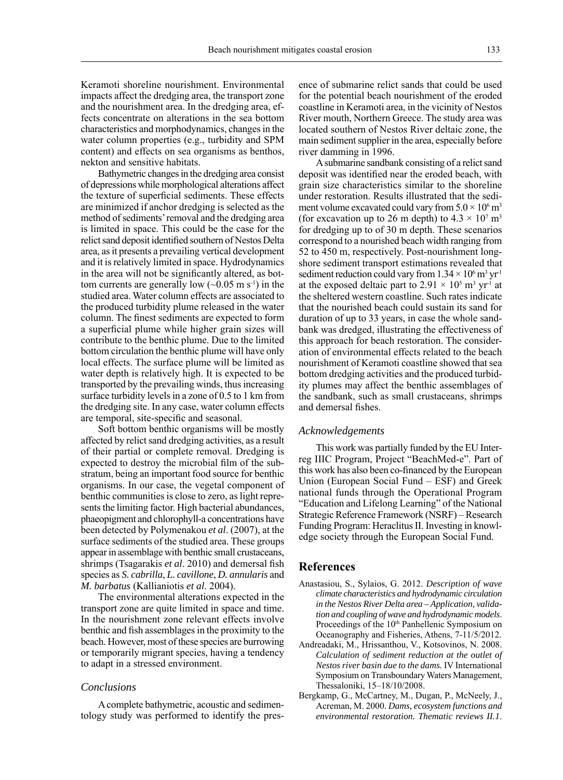Keramoti shoreline nourishment. Environmental impacts affect the dredging area, the transport zone and the nourishment area. In the dredging area, effects concentrate on alterations in the sea bottom characteristics and morphodynamics, changes in the water column properties (e.g., turbidity and SPM content) and effects on sea organisms as benthos, nekton and sensitive habitats.

Bathymetric changes in the dredging area consist of depressions while morphological alterations affect the texture of superficial sediments. These effects are minimized if anchor dredging is selected as the method of sediments' removal and the dredging area is limited in space. This could be the case for the relict sand deposit identified southern of Nestos Delta area, as it presents a prevailing vertical development and it is relatively limited in space. Hydrodynamics in the area will not be significantly altered, as bottom currents are generally low  $({\sim}0.05 \text{ m s}^{-1})$  in the studied area. Water column effects are associated to the produced turbidity plume released in the water column. The finest sediments are expected to form a superficial plume while higher grain sizes will contribute to the benthic plume. Due to the limited bottom circulation the benthic plume will have only local effects. The surface plume will be limited as water depth is relatively high. It is expected to be transported by the prevailing winds, thus increasing surface turbidity levels in a zone of 0.5 to 1 km from the dredging site. In any case, water column effects are temporal, site-specific and seasonal.

Soft bottom benthic organisms will be mostly affected by relict sand dredging activities, as a result of their partial or complete removal. Dredging is expected to destroy the microbial film of the substratum, being an important food source for benthic organisms. In our case, the vegetal component of benthic communities is close to zero, as light represents the limiting factor. High bacterial abundances, phaeopigment and chlorophyll-a concentrations have been detected by Polymenakou *et al*. (2007), at the surface sediments of the studied area. These groups appear in assemblage with benthic small crustaceans, shrimps (Tsagarakis *et al.* 2010) and demersal fish species as *S. cabrilla*, *L. cavillone*, *D. annularis* and *M. barbatus* (Kallianiotis *et al*. 2004).

The environmental alterations expected in the transport zone are quite limited in space and time. In the nourishment zone relevant effects involve benthic and fish assemblages in the proximity to the beach. However, most of these species are burrowing or temporarily migrant species, having a tendency to adapt in a stressed environment.

### *Conclusions*

A complete bathymetric, acoustic and sedimentology study was performed to identify the presence of submarine relict sands that could be used for the potential beach nourishment of the eroded coastline in Keramoti area, in the vicinity of Nestos River mouth, Northern Greece. The study area was located southern of Nestos River deltaic zone, the main sediment supplier in the area, especially before river damming in 1996.

A submarine sandbank consisting of a relict sand deposit was identified near the eroded beach, with grain size characteristics similar to the shoreline under restoration. Results illustrated that the sediment volume excavated could vary from  $5.0 \times 10^6$  m<sup>3</sup> (for excavation up to 26 m depth) to  $4.3 \times 10^7$  m<sup>3</sup> for dredging up to of 30 m depth. These scenarios correspond to a nourished beach width ranging from 52 to 450 m, respectively. Post-nourishment longshore sediment transport estimations revealed that sediment reduction could vary from  $1.34 \times 10^6$  m<sup>3</sup> yr<sup>1</sup> at the exposed deltaic part to  $2.91 \times 10^5$  m<sup>3</sup> yr<sup>1</sup> at the sheltered western coastline. Such rates indicate that the nourished beach could sustain its sand for duration of up to 33 years, in case the whole sandbank was dredged, illustrating the effectiveness of this approach for beach restoration. The consideration of environmental effects related to the beach nourishment of Keramoti coastline showed that sea bottom dredging activities and the produced turbidity plumes may affect the benthic assemblages of the sandbank, such as small crustaceans, shrimps and demersal fishes.

### *Acknowledgements*

This work was partially funded by the EU Interreg IIIC Program, Project "BeachMed-e". Part of this work has also been co-financed by the European Union (European Social Fund – ESF) and Greek national funds through the Operational Program "Education and Lifelong Learning" of the National Strategic Reference Framework (NSRF) – Research Funding Program: Heraclitus II. Investing in knowledge society through the European Social Fund.

# **References**

- Anastasiou, S., Sylaios, G. 2012. *Description of wave climate characteristics and hydrodynamic circulation in the Nestos River Delta area – Application, validation and coupling of wave and hydrodynamic models*. Proceedings of the 10<sup>th</sup> Panhellenic Symposium on Oceanography and Fisheries, Athens, 7-11/5/2012.
- Andreadaki, M., Hrissanthou, V., Kotsovinos, N. 2008. *Calculation of sediment reduction at the outlet of Nestos river basin due to the dams.* IV International Symposium on Transboundary Waters Management, Thessaloniki, 15–18/10/2008.
- Bergkamp, G., McCartney, M., Dugan, P., McNeely, J., Acreman, M. 2000. *Dams, ecosystem functions and environmental restoration. Thematic reviews II.1*.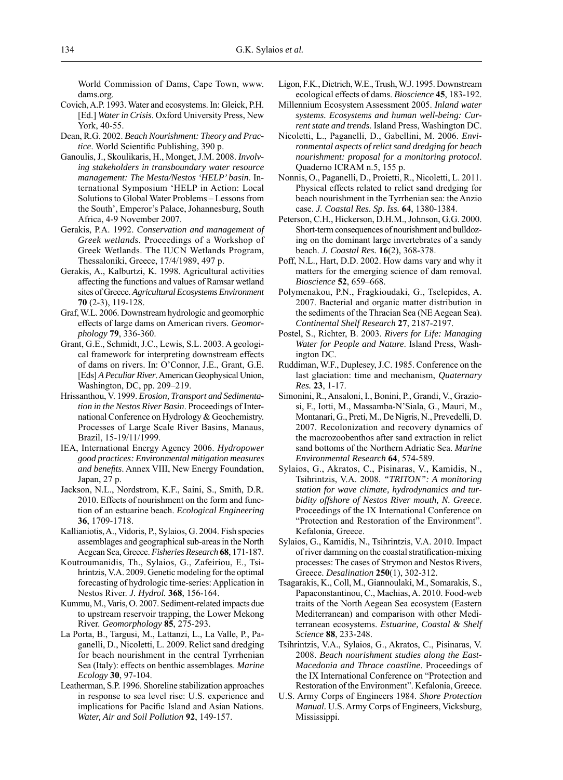World Commission of Dams, Cape Town, www. dams.org.

- Covich, A.P. 1993. Water and ecosystems. In: Gleick, P.H. [Ed.] *Water in Crisis*. Oxford University Press, New York, 40-55.
- Dean, R.G. 2002. *Beach Nourishment: Theory and Practice*. World Scientific Publishing, 390 p.
- Ganoulis, J., Skoulikaris, H., Monget, J.M. 2008. *Involving stakeholders in transboundary water resource management: The Mesta/Nestos 'HELP' basin*. International Symposium 'HELP in Action: Local Solutions to Global Water Problems – Lessons from the South', Emperor's Palace, Johannesburg, South Africa, 4-9 November 2007.
- Gerakis, P.A. 1992. *Conservation and management of Greek wetlands.* Proceedings of a Workshop of Greek Wetlands. The IUCN Wetlands Program, Thessaloniki, Greece, 17/4/1989, 497 p.
- Gerakis, A., Kalburtzi, K. 1998. Agricultural activities affecting the functions and values of Ramsar wetland sites of Greece. *Agricultural Ecosystems Environment* **70** (2-3), 119-128.
- Graf, W.L. 2006. Downstream hydrologic and geomorphic effects of large dams on American rivers. *Geomorphology* **79**, 336-360.
- Grant, G.E., Schmidt, J.C., Lewis, S.L. 2003. A geological framework for interpreting downstream effects of dams on rivers. In: O'Connor, J.E., Grant, G.E. [Eds] *A Peculiar River*. American Geophysical Union, Washington, DC, pp. 209–219.
- Hrissanthou, V. 1999. *Erosion, Transport and Sedimentation in the Nestos River Basin*. Proceedings of International Conference on Hydrology & Geochemistry. Processes of Large Scale River Basins, Manaus, Brazil, 15-19/11/1999.
- IEA, International Energy Agency 2006. *Hydropower good practices: Environmental mitigation measures and benefits*. Annex VIII, New Energy Foundation, Japan, 27 p.
- Jackson, N.L., Nordstrom, K.F., Saini, S., Smith, D.R. 2010. Effects of nourishment on the form and function of an estuarine beach. *Ecological Engineering* **36**, 1709-1718.
- Kallianiotis, A., Vidoris, P., Sylaios, G. 2004. Fish species assemblages and geographical sub-areas in the North Aegean Sea, Greece. *Fisheries Research* **68**, 171-187.
- Koutroumanidis, Th., Sylaios, G., Zafeiriou, E., Tsihrintzis, V.A. 2009. Genetic modeling for the optimal forecasting of hydrologic time-series: Application in Nestos River. *J. Hydrol.* **368**, 156-164.
- Kummu, M., Varis, O. 2007. Sediment-related impacts due to upstream reservoir trapping, the Lower Mekong River. *Geomorphology* **85**, 275-293.
- La Porta, B., Targusi, M., Lattanzi, L., La Valle, P., Paganelli, D., Nicoletti, L. 2009. Relict sand dredging for beach nourishment in the central Tyrrhenian Sea (Italy): effects on benthic assemblages. *Marine Ecology* **30**, 97-104.
- Leatherman, S.P. 1996. Shoreline stabilization approaches in response to sea level rise: U.S. experience and implications for Pacific Island and Asian Nations. *Water, Air and Soil Pollution* **92**, 149-157.
- Ligon, F.K., Dietrich, W.E., Trush, W.J. 1995. Downstream ecological effects of dams. *Bioscience* **45**, 183-192.
- Millennium Ecosystem Assessment 2005. *Inland water systems. Ecosystems and human well-being: Current state and trends*. Island Press, Washington DC.
- Nicoletti, L., Paganelli, D., Gabellini, M. 2006. *Environmental aspects of relict sand dredging for beach nourishment: proposal for a monitoring protocol*. Quaderno ICRAM n.5, 155 p.
- Nonnis, O., Paganelli, D., Proietti, R., Nicoletti, L. 2011. Physical effects related to relict sand dredging for beach nourishment in the Tyrrhenian sea: the Anzio case. *J. Coastal Res. Sp. Iss.* **64**, 1380-1384.
- Peterson, C.H., Hickerson, D.H.M., Johnson, G.G. 2000. Short-term consequences of nourishment and bulldozing on the dominant large invertebrates of a sandy beach. *J. Coastal Res.* **16**(2), 368-378.
- Poff, N.L., Hart, D.D. 2002. How dams vary and why it matters for the emerging science of dam removal. *Bioscience* **52**, 659–668.
- Polymenakou, P.N., Fragkioudaki, G., Tselepides, A. 2007. Bacterial and organic matter distribution in the sediments of the Thracian Sea (NE Aegean Sea). *Continental Shelf Research* **27**, 2187-2197.
- Postel, S., Richter, B. 2003. *Rivers for Life: Managing Water for People and Nature*. Island Press, Washington DC.
- Ruddiman, W.F., Duplesey, J.C. 1985. Conference on the last glaciation: time and mechanism, *Quaternary Res.* **23**, 1-17.
- Simonini, R., Ansaloni, I., Bonini, P., Grandi, V., Graziosi, F., Iotti, M., Massamba-N'Siala, G., Mauri, M., Montanari, G., Preti, M., De Nigris, N., Prevedelli, D. 2007. Recolonization and recovery dynamics of the macrozoobenthos after sand extraction in relict sand bottoms of the Northern Adriatic Sea. *Marine Environmental Research* **64**, 574-589.
- Sylaios, G., Akratos, C., Pisinaras, V., Kamidis, N., Tsihrintzis, V.A. 2008. *"TRITON": A monitoring station for wave climate, hydrodynamics and turbidity offshore of Nestos River mouth, N. Greece*. Proceedings of the IX International Conference on "Protection and Restoration of the Environment". Kefalonia, Greece.
- Sylaios, G., Kamidis, N., Tsihrintzis, V.A. 2010. Impact of river damming on the coastal stratification-mixing processes: The cases of Strymon and Nestos Rivers, Greece. *Desalination* **250**(1), 302-312.
- Tsagarakis, K., Coll, M., Giannoulaki, M., Somarakis, S., Papaconstantinou, C., Machias, A. 2010. Food-web traits of the North Aegean Sea ecosystem (Eastern Mediterranean) and comparison with other Mediterranean ecosystems. *Estuarine, Coastal & Shelf Science* **88**, 233-248.
- Tsihrintzis, V.A., Sylaios, G., Akratos, C., Pisinaras, V. 2008. *Beach nourishment studies along the East-Macedonia and Thrace coastline*. Proceedings of the IX International Conference on "Protection and Restoration of the Environment". Kefalonia, Greece.
- U.S. Army Corps of Engineers 1984. *Shore Protection Manual.* U.S. Army Corps of Engineers, Vicksburg, Mississippi.